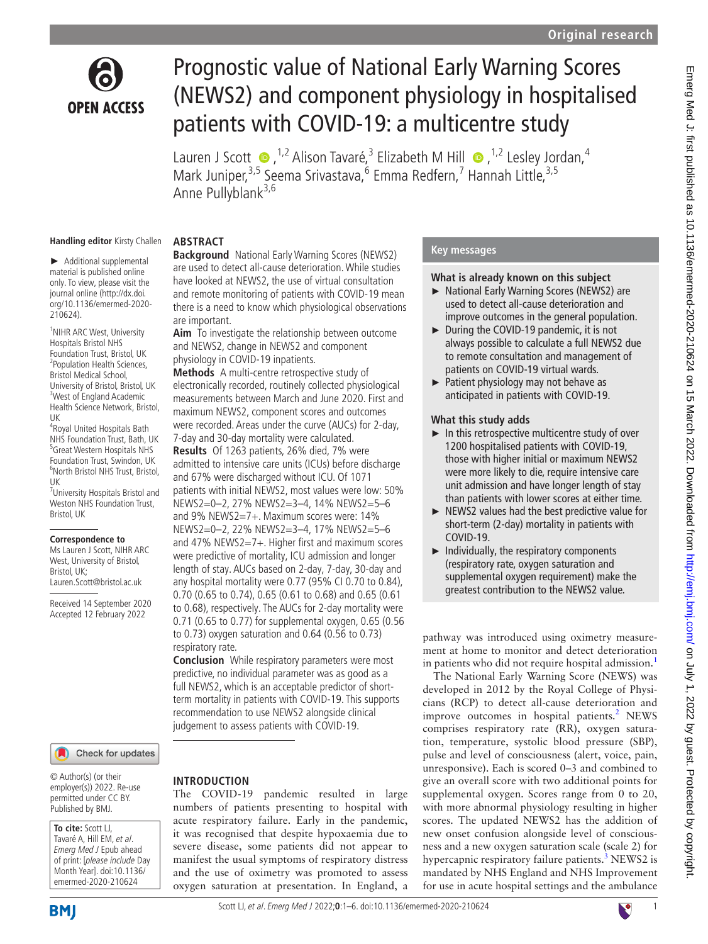

# Prognostic value of National Early Warning Scores (NEWS2) and component physiology in hospitalised patients with COVID-19: a multicentre study

LaurenJ Scott  $\bullet$ , <sup>1,2</sup> Alison Tavaré,<sup>3</sup> Elizabeth M Hill  $\bullet$ , <sup>1,2</sup> Lesley Jordan,<sup>4</sup> Mark Juniper,<sup>3,5</sup> Seema Srivastava,<sup>6</sup> Emma Redfern,<sup>7</sup> Hannah Little,<sup>3,5</sup> Anne Pullyblank<sup>3,6</sup>

#### **Handling editor** Kirsty Challen

► Additional supplemental material is published online only. To view, please visit the journal online ([http://dx.doi.](http://dx.doi.org/10.1136/emermed-2020-210624) [org/10.1136/emermed-2020-](http://dx.doi.org/10.1136/emermed-2020-210624) [210624](http://dx.doi.org/10.1136/emermed-2020-210624)).

<sup>1</sup>NIHR ARC West, University Hospitals Bristol NHS Foundation Trust, Bristol, UK <sup>2</sup> Population Health Sciences, Bristol Medical School, University of Bristol, Bristol, UK <sup>3</sup>West of England Academic Health Science Network, Bristol,

UK 4 Royal United Hospitals Bath NHS Foundation Trust, Bath, UK 5 Great Western Hospitals NHS Foundation Trust, Swindon, UK 6 North Bristol NHS Trust, Bristol, UK

7 University Hospitals Bristol and Weston NHS Foundation Trust, Bristol, UK

#### **Correspondence to**

Ms Lauren J Scott, NIHR ARC West, University of Bristol, Bristol, UK; Lauren.Scott@bristol.ac.uk

Received 14 September 2020 Accepted 12 February 2022

#### **ABSTRACT**

**Background** National Early Warning Scores (NEWS2) are used to detect all-cause deterioration. While studies have looked at NEWS2, the use of virtual consultation and remote monitoring of patients with COVID-19 mean there is a need to know which physiological observations are important.

**Aim** To investigate the relationship between outcome and NEWS2, change in NEWS2 and component physiology in COVID-19 inpatients.

**Methods** A multi-centre retrospective study of electronically recorded, routinely collected physiological measurements between March and June 2020. First and maximum NEWS2, component scores and outcomes were recorded. Areas under the curve (AUCs) for 2-day, 7-day and 30-day mortality were calculated. **Results** Of 1263 patients, 26% died, 7% were admitted to intensive care units (ICUs) before discharge and 67% were discharged without ICU. Of 1071 patients with initial NEWS2, most values were low: 50% NEWS2=0–2, 27% NEWS2=3–4, 14% NEWS2=5–6 and 9% NEWS2=7+. Maximum scores were: 14% NEWS2=0–2, 22% NEWS2=3–4, 17% NEWS2=5–6 and 47% NEWS2=7+. Higher first and maximum scores were predictive of mortality, ICU admission and longer length of stay. AUCs based on 2-day, 7-day, 30-day and any hospital mortality were 0.77 (95% CI 0.70 to 0.84), 0.70 (0.65 to 0.74), 0.65 (0.61 to 0.68) and 0.65 (0.61 to 0.68), respectively. The AUCs for 2-day mortality were 0.71 (0.65 to 0.77) for supplemental oxygen, 0.65 (0.56 to 0.73) oxygen saturation and 0.64 (0.56 to 0.73) respiratory rate.

**Conclusion** While respiratory parameters were most predictive, no individual parameter was as good as a full NEWS2, which is an acceptable predictor of shortterm mortality in patients with COVID-19. This supports recommendation to use NEWS2 alongside clinical judgement to assess patients with COVID-19.

#### Check for updates

© Author(s) (or their employer(s)) 2022. Re-use permitted under CC BY. Published by BMJ.

#### **To cite:** Scott LJ,

Tavaré A, Hill EM, et al. Emerg Med J Epub ahead of print: [please include Day Month Year]. doi:10.1136/ emermed-2020-210624

## **INTRODUCTION**

The COVID-19 pandemic resulted in large numbers of patients presenting to hospital with acute respiratory failure. Early in the pandemic, it was recognised that despite hypoxaemia due to severe disease, some patients did not appear to manifest the usual symptoms of respiratory distress and the use of oximetry was promoted to assess oxygen saturation at presentation. In England, a

#### **Key messages**

#### **What is already known on this subject**

- ► National Early Warning Scores (NEWS2) are used to detect all-cause deterioration and improve outcomes in the general population.
- ► During the COVID-19 pandemic, it is not always possible to calculate a full NEWS2 due to remote consultation and management of patients on COVID-19 virtual wards.
- ► Patient physiology may not behave as anticipated in patients with COVID-19.

#### **What this study adds**

- ► In this retrospective multicentre study of over 1200 hospitalised patients with COVID-19, those with higher initial or maximum NEWS2 were more likely to die, require intensive care unit admission and have longer length of stay than patients with lower scores at either time.
- ► NEWS2 values had the best predictive value for short-term (2-day) mortality in patients with COVID-19.
- ► Individually, the respiratory components (respiratory rate, oxygen saturation and supplemental oxygen requirement) make the greatest contribution to the NEWS2 value.

pathway was introduced using oximetry measurement at home to monitor and detect deterioration in patients who did not require hospital admission.<sup>[1](#page-5-0)</sup>

The National Early Warning Score (NEWS) was developed in 2012 by the Royal College of Physicians (RCP) to detect all-cause deterioration and improve outcomes in hospital patients.<sup>[2](#page-5-1)</sup> NEWS comprises respiratory rate (RR), oxygen saturation, temperature, systolic blood pressure (SBP), pulse and level of consciousness (alert, voice, pain, unresponsive). Each is scored 0–3 and combined to give an overall score with two additional points for supplemental oxygen. Scores range from 0 to 20, with more abnormal physiology resulting in higher scores. The updated NEWS2 has the addition of new onset confusion alongside level of consciousness and a new oxygen saturation scale (scale 2) for hypercapnic respiratory failure patients.<sup>[3](#page-5-2)</sup> NEWS2 is mandated by NHS England and NHS Improvement for use in acute hospital settings and the ambulance

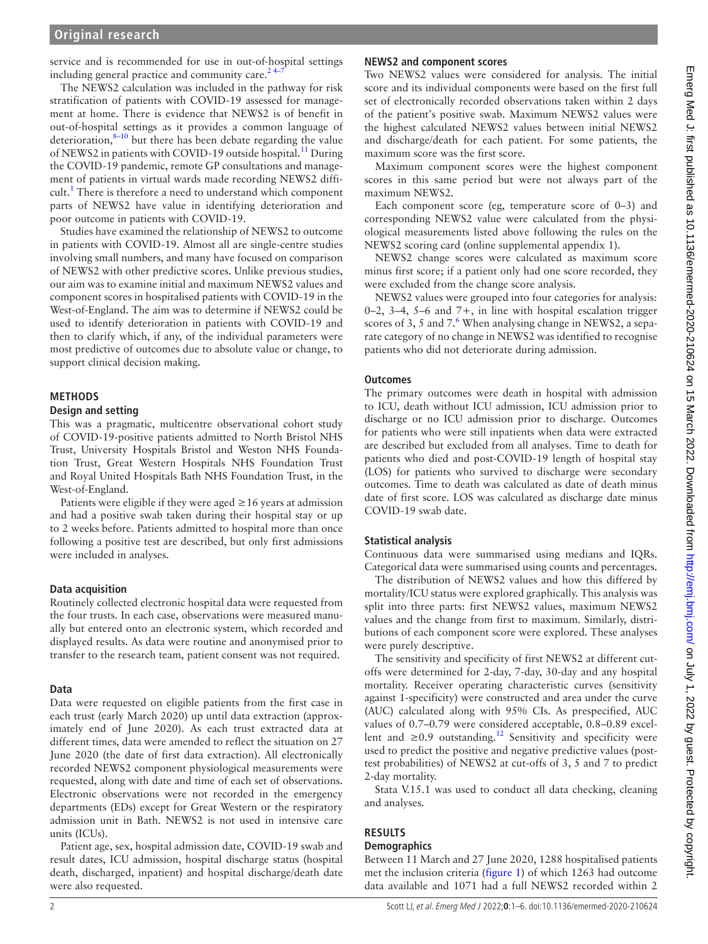#### **Original research**

service and is recommended for use in out-of-hospital settings including general practice and community care. $2<sup>4</sup>$ 

The NEWS2 calculation was included in the pathway for risk stratification of patients with COVID-19 assessed for management at home. There is evidence that NEWS2 is of benefit in out-of-hospital settings as it provides a common language of deterioration, $8-10$  but there has been debate regarding the value of NEWS2 in patients with COVID-19 outside hospital.<sup>[11](#page-5-4)</sup> During the COVID-19 pandemic, remote GP consultations and management of patients in virtual wards made recording NEWS2 diffi-cult.<sup>[1](#page-5-0)</sup> There is therefore a need to understand which component parts of NEWS2 have value in identifying deterioration and poor outcome in patients with COVID-19.

Studies have examined the relationship of NEWS2 to outcome in patients with COVID-19. Almost all are single-centre studies involving small numbers, and many have focused on comparison of NEWS2 with other predictive scores. Unlike previous studies, our aim was to examine initial and maximum NEWS2 values and component scores in hospitalised patients with COVID-19 in the West-of-England. The aim was to determine if NEWS2 could be used to identify deterioration in patients with COVID-19 and then to clarify which, if any, of the individual parameters were most predictive of outcomes due to absolute value or change, to support clinical decision making.

#### **METHODS**

#### **Design and setting**

This was a pragmatic, multicentre observational cohort study of COVID-19-positive patients admitted to North Bristol NHS Trust, University Hospitals Bristol and Weston NHS Foundation Trust, Great Western Hospitals NHS Foundation Trust and Royal United Hospitals Bath NHS Foundation Trust, in the West-of-England.

Patients were eligible if they were aged  $\geq 16$  years at admission and had a positive swab taken during their hospital stay or up to 2 weeks before. Patients admitted to hospital more than once following a positive test are described, but only first admissions were included in analyses.

#### **Data acquisition**

Routinely collected electronic hospital data were requested from the four trusts. In each case, observations were measured manually but entered onto an electronic system, which recorded and displayed results. As data were routine and anonymised prior to transfer to the research team, patient consent was not required.

#### **Data**

Data were requested on eligible patients from the first case in each trust (early March 2020) up until data extraction (approximately end of June 2020). As each trust extracted data at different times, data were amended to reflect the situation on 27 June 2020 (the date of first data extraction). All electronically recorded NEWS2 component physiological measurements were requested, along with date and time of each set of observations. Electronic observations were not recorded in the emergency departments (EDs) except for Great Western or the respiratory admission unit in Bath. NEWS2 is not used in intensive care units (ICUs).

Patient age, sex, hospital admission date, COVID-19 swab and result dates, ICU admission, hospital discharge status (hospital death, discharged, inpatient) and hospital discharge/death date were also requested.

#### **NEWS2 and component scores**

Two NEWS2 values were considered for analysis. The initial score and its individual components were based on the first full set of electronically recorded observations taken within 2 days of the patient's positive swab. Maximum NEWS2 values were the highest calculated NEWS2 values between initial NEWS2 and discharge/death for each patient. For some patients, the maximum score was the first score.

Maximum component scores were the highest component scores in this same period but were not always part of the maximum NEWS2.

Each component score (eg, temperature score of 0–3) and corresponding NEWS2 value were calculated from the physiological measurements listed above following the rules on the NEWS2 scoring card [\(online supplemental appendix 1\)](https://dx.doi.org/10.1136/emermed-2020-210624).

NEWS2 change scores were calculated as maximum score minus first score; if a patient only had one score recorded, they were excluded from the change score analysis.

NEWS2 values were grouped into four categories for analysis: 0–2, 3–4, 5–6 and 7+, in line with hospital escalation trigger scores of 3, 5 and  $7.6$  $7.6$  When analysing change in NEWS2, a separate category of no change in NEWS2 was identified to recognise patients who did not deteriorate during admission.

#### **Outcomes**

The primary outcomes were death in hospital with admission to ICU, death without ICU admission, ICU admission prior to discharge or no ICU admission prior to discharge. Outcomes for patients who were still inpatients when data were extracted are described but excluded from all analyses. Time to death for patients who died and post-COVID-19 length of hospital stay (LOS) for patients who survived to discharge were secondary outcomes. Time to death was calculated as date of death minus date of first score. LOS was calculated as discharge date minus COVID-19 swab date.

#### **Statistical analysis**

Continuous data were summarised using medians and IQRs. Categorical data were summarised using counts and percentages.

The distribution of NEWS2 values and how this differed by mortality/ICU status were explored graphically. This analysis was split into three parts: first NEWS2 values, maximum NEWS2 values and the change from first to maximum. Similarly, distributions of each component score were explored. These analyses were purely descriptive.

The sensitivity and specificity of first NEWS2 at different cutoffs were determined for 2-day, 7-day, 30-day and any hospital mortality. Receiver operating characteristic curves (sensitivity against 1-specificity) were constructed and area under the curve (AUC) calculated along with 95% CIs. As prespecified, AUC values of 0.7–0.79 were considered acceptable, 0.8–0.89 excellent and  $\geq 0.9$  outstanding.<sup>[12](#page-5-6)</sup> Sensitivity and specificity were used to predict the positive and negative predictive values (posttest probabilities) of NEWS2 at cut-offs of 3, 5 and 7 to predict 2-day mortality.

Stata V.15.1 was used to conduct all data checking, cleaning and analyses.

## **RESULTS**

#### **Demographics**

Between 11 March and 27 June 2020, 1288 hospitalised patients met the inclusion criteria ([figure](#page-2-0) 1) of which 1263 had outcome data available and 1071 had a full NEWS2 recorded within 2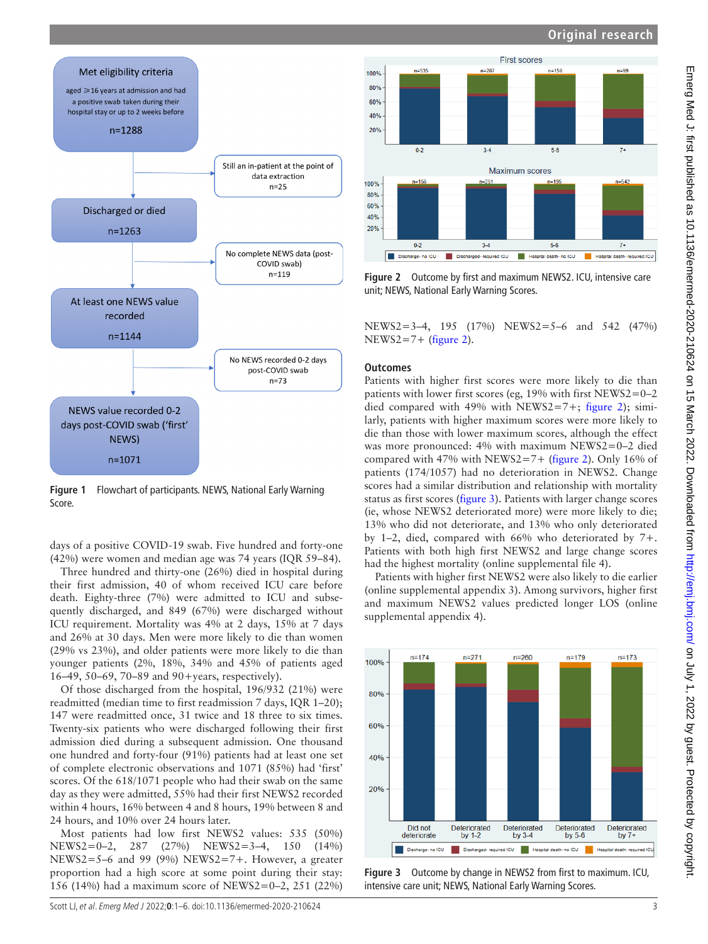### **Original research**



<span id="page-2-0"></span>**Figure 1** Flowchart of participants. NEWS, National Early Warning Score.

days of a positive COVID-19 swab. Five hundred and forty-one (42%) were women and median age was 74 years (IQR 59–84).

Three hundred and thirty-one (26%) died in hospital during their first admission, 40 of whom received ICU care before death. Eighty-three (7%) were admitted to ICU and subsequently discharged, and 849 (67%) were discharged without ICU requirement. Mortality was 4% at 2 days, 15% at 7 days and 26% at 30 days. Men were more likely to die than women (29% vs 23%), and older patients were more likely to die than younger patients (2%, 18%, 34% and 45% of patients aged 16–49, 50–69, 70–89 and 90+years, respectively).

Of those discharged from the hospital, 196/932 (21%) were readmitted (median time to first readmission 7 days, IQR 1–20); 147 were readmitted once, 31 twice and 18 three to six times. Twenty-six patients who were discharged following their first admission died during a subsequent admission. One thousand one hundred and forty-four (91%) patients had at least one set of complete electronic observations and 1071 (85%) had 'first' scores. Of the 618/1071 people who had their swab on the same day as they were admitted, 55% had their first NEWS2 recorded within 4 hours, 16% between 4 and 8 hours, 19% between 8 and 24 hours, and 10% over 24 hours later.

Most patients had low first NEWS2 values: 535 (50%) NEWS2=0–2, 287 (27%) NEWS2=3–4, 150 (14%) NEWS2=5–6 and 99 (9%) NEWS2=7+. However, a greater proportion had a high score at some point during their stay: 156 (14%) had a maximum score of NEWS2=0–2, 251 (22%)



<span id="page-2-1"></span>**Figure 2** Outcome by first and maximum NEWS2. ICU, intensive care unit; NEWS, National Early Warning Scores.

NEWS2=3–4, 195 (17%) NEWS2=5–6 and 542 (47%)  $NEWS2=7+$  ([figure](#page-2-1) 2).

#### **Outcomes**

Patients with higher first scores were more likely to die than patients with lower first scores (eg, 19% with first NEWS2=0–2 died compared with 49% with NEWS2=7+; [figure](#page-2-1) 2); similarly, patients with higher maximum scores were more likely to die than those with lower maximum scores, although the effect was more pronounced: 4% with maximum NEWS2=0–2 died compared with 47% with NEWS2=7+ ([figure](#page-2-1) 2). Only 16% of patients (174/1057) had no deterioration in NEWS2. Change scores had a similar distribution and relationship with mortality status as first scores ([figure](#page-2-2) 3). Patients with larger change scores (ie, whose NEWS2 deteriorated more) were more likely to die; 13% who did not deteriorate, and 13% who only deteriorated by 1–2, died, compared with 66% who deteriorated by 7+. Patients with both high first NEWS2 and large change scores had the highest mortality ([online supplemental file 4](https://dx.doi.org/10.1136/emermed-2020-210624)).

Patients with higher first NEWS2 were also likely to die earlier ([online supplemental appendix 3](https://dx.doi.org/10.1136/emermed-2020-210624)). Among survivors, higher first and maximum NEWS2 values predicted longer LOS [\(online](https://dx.doi.org/10.1136/emermed-2020-210624) [supplemental appendix 4\)](https://dx.doi.org/10.1136/emermed-2020-210624).



<span id="page-2-2"></span>**Figure 3** Outcome by change in NEWS2 from first to maximum. ICU, intensive care unit; NEWS, National Early Warning Scores.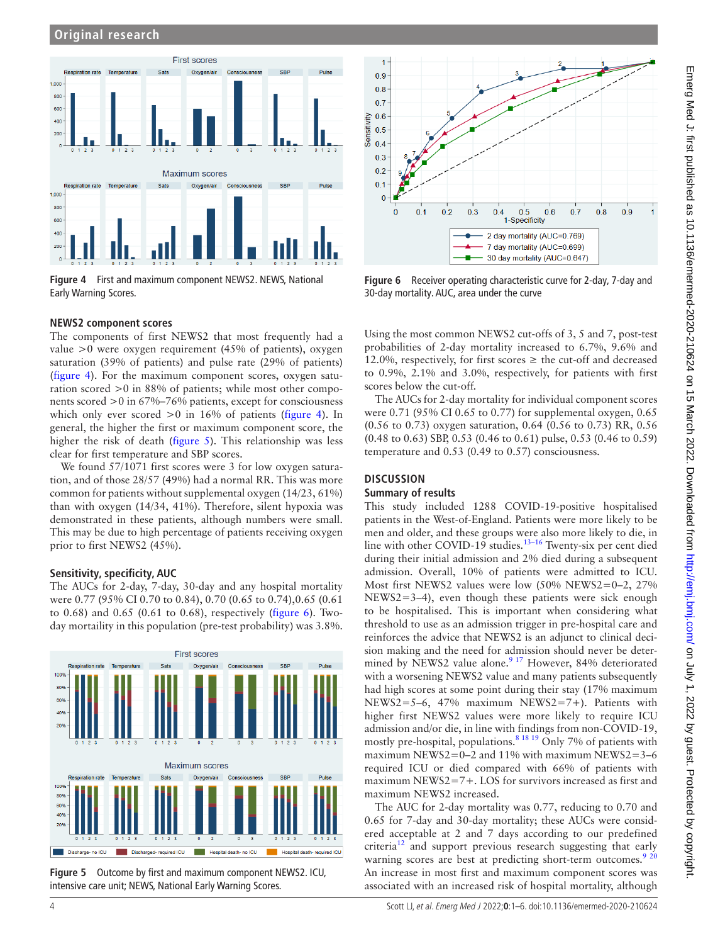

<span id="page-3-0"></span>**Figure 4** First and maximum component NEWS2. NEWS, National Early Warning Scores.

#### **NEWS2 component scores**

The components of first NEWS2 that most frequently had a value >0 were oxygen requirement (45% of patients), oxygen saturation (39% of patients) and pulse rate (29% of patients) ([figure](#page-3-0) 4). For the maximum component scores, oxygen saturation scored >0 in 88% of patients; while most other components scored >0 in 67%–76% patients, except for consciousness which only ever scored  $>0$  in 16% of patients ([figure](#page-3-0) 4). In general, the higher the first or maximum component score, the higher the risk of death [\(figure](#page-3-1) 5). This relationship was less clear for first temperature and SBP scores.

We found 57/1071 first scores were 3 for low oxygen saturation, and of those 28/57 (49%) had a normal RR. This was more common for patients without supplemental oxygen (14/23, 61%) than with oxygen (14/34, 41%). Therefore, silent hypoxia was demonstrated in these patients, although numbers were small. This may be due to high percentage of patients receiving oxygen prior to first NEWS2 (45%).

#### **Sensitivity, specificity, AUC**

The AUCs for 2-day, 7-day, 30-day and any hospital mortality were 0.77 (95% CI 0.70 to 0.84), 0.70 (0.65 to 0.74), 0.65 (0.61 to 0.68) and 0.65 (0.61 to 0.68), respectively [\(figure](#page-3-2) 6). Twoday mortaility in this population (pre-test probability) was 3.8%.



<span id="page-3-1"></span>**Figure 5** Outcome by first and maximum component NEWS2. ICU, intensive care unit; NEWS, National Early Warning Scores.



<span id="page-3-2"></span>**Figure 6** Receiver operating characteristic curve for 2-day, 7-day and 30-day mortality. AUC, area under the curve

Using the most common NEWS2 cut-offs of 3, 5 and 7, post-test probabilities of 2-day mortality increased to 6.7%, 9.6% and 12.0%, respectively, for first scores  $\geq$  the cut-off and decreased to 0.9%, 2.1% and 3.0%, respectively, for patients with first scores below the cut-off.

The AUCs for 2-day mortality for individual component scores were 0.71 (95% CI 0.65 to 0.77) for supplemental oxygen, 0.65 (0.56 to 0.73) oxygen saturation, 0.64 (0.56 to 0.73) RR, 0.56 (0.48 to 0.63) SBP, 0.53 (0.46 to 0.61) pulse, 0.53 (0.46 to 0.59) temperature and 0.53 (0.49 to 0.57) consciousness.

## **DISCUSSION**

#### **Summary of results**

This study included 1288 COVID-19-positive hospitalised patients in the West-of-England. Patients were more likely to be men and older, and these groups were also more likely to die, in line with other COVID-19 studies.<sup>13-16</sup> Twenty-six per cent died during their initial admission and 2% died during a subsequent admission. Overall, 10% of patients were admitted to ICU. Most first NEWS2 values were low (50% NEWS2=0–2, 27% NEWS2=3–4), even though these patients were sick enough to be hospitalised. This is important when considering what threshold to use as an admission trigger in pre-hospital care and reinforces the advice that NEWS2 is an adjunct to clinical decision making and the need for admission should never be determined by NEWS2 value alone.<sup>9 17</sup> However, 84% deteriorated with a worsening NEWS2 value and many patients subsequently had high scores at some point during their stay (17% maximum NEWS2=5–6, 47% maximum NEWS2=7+). Patients with higher first NEWS2 values were more likely to require ICU admission and/or die, in line with findings from non-COVID-19, mostly pre-hospital, populations. $81819$  Only 7% of patients with maximum NEWS2=0-2 and 11% with maximum NEWS2=3-6 required ICU or died compared with 66% of patients with maximum NEWS2=7+. LOS for survivors increased as first and maximum NEWS2 increased.

The AUC for 2-day mortality was 0.77, reducing to 0.70 and 0.65 for 7-day and 30-day mortality; these AUCs were considered acceptable at 2 and 7 days according to our predefined criteria<sup>12</sup> and support previous research suggesting that early warning scores are best at predicting short-term outcomes.<sup>[9 20](#page-5-8)</sup> An increase in most first and maximum component scores was associated with an increased risk of hospital mortality, although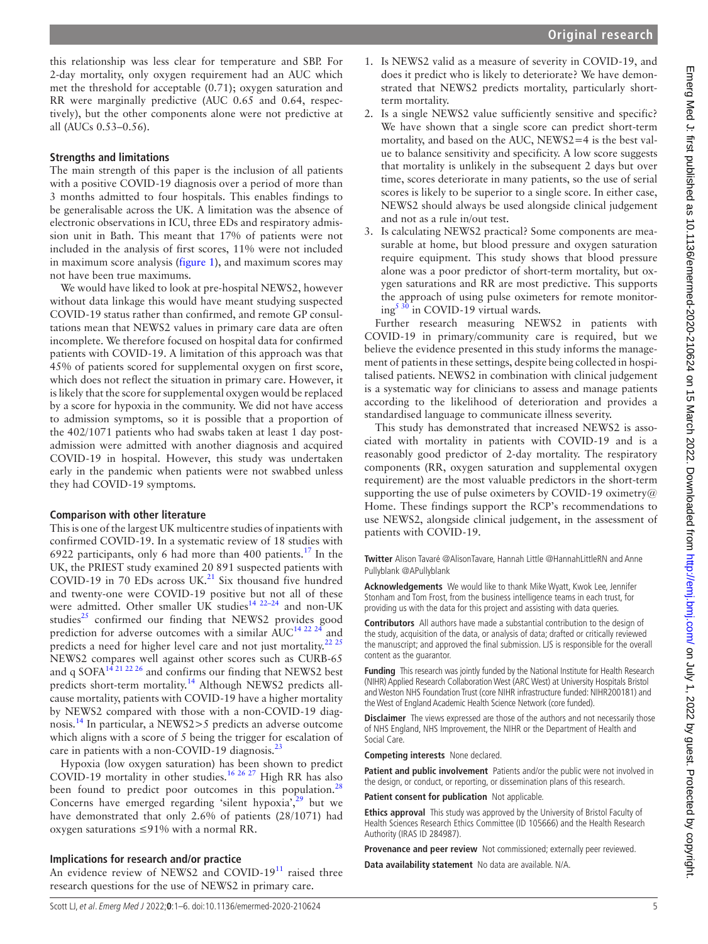1. Is NEWS2 valid as a measure of severity in COVID-19, and does it predict who is likely to deteriorate? We have demonstrated that NEWS2 predicts mortality, particularly shortterm mortality. 2. Is a single NEWS2 value sufficiently sensitive and specific? We have shown that a single score can predict short-term mortality, and based on the AUC, NEWS2=4 is the best value to balance sensitivity and specificity. A low score suggests that mortality is unlikely in the subsequent 2 days but over time, scores deteriorate in many patients, so the use of serial scores is likely to be superior to a single score. In either case, NEWS2 should always be used alongside clinical judgement and not as a rule in/out test. 3. Is calculating NEWS2 practical? Some components are measurable at home, but blood pressure and oxygen saturation require equipment. This study shows that blood pressure alone was a poor predictor of short-term mortality, but oxygen saturations and RR are most predictive. This supports the approach of using pulse oximeters for remote monitor $ing<sup>5</sup>30$  in COVID-19 virtual wards. Further research measuring NEWS2 in patients with COVID-19 in primary/community care is required, but we believe the evidence presented in this study informs the management of patients in these settings, despite being collected in hospitalised patients. NEWS2 in combination with clinical judgement is a systematic way for clinicians to assess and manage patients according to the likelihood of deterioration and provides a standardised language to communicate illness severity. This study has demonstrated that increased NEWS2 is associated with mortality in patients with COVID-19 and is a reasonably good predictor of 2-day mortality. The respiratory components (RR, oxygen saturation and supplemental oxygen requirement) are the most valuable predictors in the short-term supporting the use of pulse oximeters by COVID-19 oximetry@ Home. These findings support the RCP's recommendations to use NEWS2, alongside clinical judgement, in the assessment of patients with COVID-19.

**Twitter** Alison Tavaré [@AlisonTavare,](https://twitter.com/AlisonTavare) Hannah Little [@HannahLittleRN](https://twitter.com/HannahLittleRN) and Anne Pullyblank [@APullyblank](https://twitter.com/APullyblank)

**Acknowledgements** We would like to thank Mike Wyatt, Kwok Lee, Jennifer Stonham and Tom Frost, from the business intelligence teams in each trust, for providing us with the data for this project and assisting with data queries.

**Contributors** All authors have made a substantial contribution to the design of the study, acquisition of the data, or analysis of data; drafted or critically reviewed the manuscript; and approved the final submission. LJS is responsible for the overall content as the guarantor.

**Funding** This research was jointly funded by the National Institute for Health Research (NIHR) Applied Research Collaboration West (ARC West) at University Hospitals Bristol and Weston NHS Foundation Trust (core NIHR infrastructure funded: NIHR200181) and the West of England Academic Health Science Network (core funded).

**Disclaimer** The views expressed are those of the authors and not necessarily those of NHS England, NHS Improvement, the NIHR or the Department of Health and Social Care.

**Competing interests** None declared.

**Patient and public involvement** Patients and/or the public were not involved in the design, or conduct, or reporting, or dissemination plans of this research.

**Patient consent for publication** Not applicable.

**Ethics approval** This study was approved by the University of Bristol Faculty of Health Sciences Research Ethics Committee (ID 105666) and the Health Research Authority (IRAS ID 284987).

**Provenance and peer review** Not commissioned; externally peer reviewed.

**Data availability statement** No data are available. N/A.

this relationship was less clear for temperature and SBP. For 2-day mortality, only oxygen requirement had an AUC which met the threshold for acceptable (0.71); oxygen saturation and RR were marginally predictive (AUC 0.65 and 0.64, respectively), but the other components alone were not predictive at all (AUCs 0.53–0.56).

## **Strengths and limitations**

The main strength of this paper is the inclusion of all patients with a positive COVID-19 diagnosis over a period of more than 3 months admitted to four hospitals. This enables findings to be generalisable across the UK. A limitation was the absence of electronic observations in ICU, three EDs and respiratory admission unit in Bath. This meant that 17% of patients were not included in the analysis of first scores, 11% were not included in maximum score analysis ([figure](#page-2-0) 1), and maximum scores may not have been true maximums.

We would have liked to look at pre-hospital NEWS2, however without data linkage this would have meant studying suspected COVID-19 status rather than confirmed, and remote GP consultations mean that NEWS2 values in primary care data are often incomplete. We therefore focused on hospital data for confirmed patients with COVID-19. A limitation of this approach was that 45% of patients scored for supplemental oxygen on first score, which does not reflect the situation in primary care. However, it is likely that the score for supplemental oxygen would be replaced by a score for hypoxia in the community. We did not have access to admission symptoms, so it is possible that a proportion of the 402/1071 patients who had swabs taken at least 1 day postadmission were admitted with another diagnosis and acquired COVID-19 in hospital. However, this study was undertaken early in the pandemic when patients were not swabbed unless they had COVID-19 symptoms.

## **Comparison with other literature**

This is one of the largest UK multicentre studies of inpatients with confirmed COVID-19. In a systematic review of 18 studies with 6922 participants, only 6 had more than 400 patients.[17](#page-5-9) In the UK, the PRIEST study examined 20 891 suspected patients with COVID-19 in 70 EDs across UK. $^{21}$  Six thousand five hundred and twenty-one were COVID-19 positive but not all of these were admitted. Other smaller UK studies<sup>14 22-24</sup> and non-UK studies $^{25}$  confirmed our finding that NEWS2 provides good prediction for adverse outcomes with a similar  $\text{AUC}^{14}$   $^{22}$   $^{24}$  and predicts a need for higher level care and not just mortality.<sup>[22 25](#page-5-13)</sup> NEWS2 compares well against other scores such as CURB-65 and q SOFA<sup>[14 21 22 26](#page-5-11)</sup> and confirms our finding that NEWS2 best predicts short-term mortality.<sup>[14](#page-5-11)</sup> Although NEWS2 predicts allcause mortality, patients with COVID-19 have a higher mortality by NEWS2 compared with those with a non-COVID-19 diagnosis.[14](#page-5-11) In particular, a NEWS2>5 predicts an adverse outcome which aligns with a score of 5 being the trigger for escalation of care in patients with a non-COVID-19 diagnosis.<sup>[23](#page-5-14)</sup>

Hypoxia (low oxygen saturation) has been shown to predict COVID-19 mortality in other studies.<sup>[16 26 27](#page-5-15)</sup> High RR has also been found to predict poor outcomes in this population.<sup>[28](#page-5-16)</sup> Concerns have emerged regarding 'silent hypoxia', $29$  but we have demonstrated that only 2.6% of patients (28/1071) had oxygen saturations ≤91% with a normal RR.

## **Implications for research and/or practice**

An evidence review of NEWS2 and COVID-19 $^{11}$  $^{11}$  $^{11}$  raised three research questions for the use of NEWS2 in primary care.